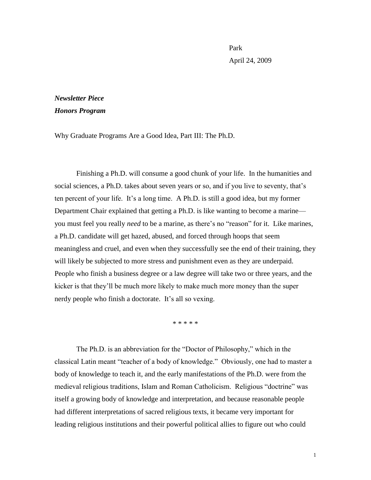Park April 24, 2009

## *Newsletter Piece Honors Program*

Why Graduate Programs Are a Good Idea, Part III: The Ph.D.

Finishing a Ph.D. will consume a good chunk of your life. In the humanities and social sciences, a Ph.D. takes about seven years or so, and if you live to seventy, that's ten percent of your life. It"s a long time. A Ph.D. is still a good idea, but my former Department Chair explained that getting a Ph.D. is like wanting to become a marine you must feel you really *need* to be a marine, as there"s no "reason" for it. Like marines, a Ph.D. candidate will get hazed, abused, and forced through hoops that seem meaningless and cruel, and even when they successfully see the end of their training, they will likely be subjected to more stress and punishment even as they are underpaid. People who finish a business degree or a law degree will take two or three years, and the kicker is that they"ll be much more likely to make much more money than the super nerdy people who finish a doctorate. It's all so vexing.

\* \* \* \* \*

The Ph.D. is an abbreviation for the "Doctor of Philosophy," which in the classical Latin meant "teacher of a body of knowledge." Obviously, one had to master a body of knowledge to teach it, and the early manifestations of the Ph.D. were from the medieval religious traditions, Islam and Roman Catholicism. Religious "doctrine" was itself a growing body of knowledge and interpretation, and because reasonable people had different interpretations of sacred religious texts, it became very important for leading religious institutions and their powerful political allies to figure out who could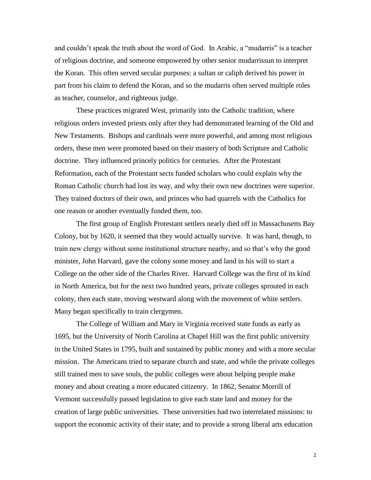and couldn"t speak the truth about the word of God. In Arabic, a "mudarris" is a teacher of religious doctrine, and someone empowered by other senior mudarrissun to interpret the Koran. This often served secular purposes: a sultan or caliph derived his power in part from his claim to defend the Koran, and so the mudarris often served multiple roles as teacher, counselor, and righteous judge.

These practices migrated West, primarily into the Catholic tradition, where religious orders invested priests only after they had demonstrated learning of the Old and New Testaments. Bishops and cardinals were more powerful, and among most religious orders, these men were promoted based on their mastery of both Scripture and Catholic doctrine. They influenced princely politics for centuries. After the Protestant Reformation, each of the Protestant sects funded scholars who could explain why the Roman Catholic church had lost its way, and why their own new doctrines were superior. They trained doctors of their own, and princes who had quarrels with the Catholics for one reason or another eventually funded them, too.

The first group of English Protestant settlers nearly died off in Massachusetts Bay Colony, but by 1620, it seemed that they would actually survive. It was hard, though, to train new clergy without some institutional structure nearby, and so that"s why the good minister, John Harvard, gave the colony some money and land in his will to start a College on the other side of the Charles River. Harvard College was the first of its kind in North America, but for the next two hundred years, private colleges sprouted in each colony, then each state, moving westward along with the movement of white settlers. Many began specifically to train clergymen.

The College of William and Mary in Virginia received state funds as early as 1695, but the University of North Carolina at Chapel Hill was the first public university in the United States in 1795, built and sustained by public money and with a more secular mission. The Americans tried to separate church and state, and while the private colleges still trained men to save souls, the public colleges were about helping people make money and about creating a more educated citizenry. In 1862, Senator Morrill of Vermont successfully passed legislation to give each state land and money for the creation of large public universities. These universities had two interrelated missions: to support the economic activity of their state; and to provide a strong liberal arts education

2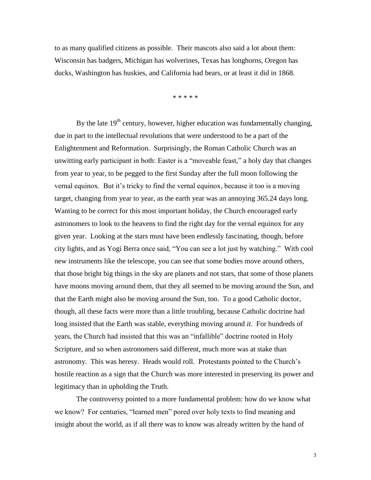to as many qualified citizens as possible. Their mascots also said a lot about them: Wisconsin has badgers, Michigan has wolverines, Texas has longhorns, Oregon has ducks, Washington has huskies, and California had bears, or at least it did in 1868.

\* \* \* \* \*

By the late  $19<sup>th</sup>$  century, however, higher education was fundamentally changing, due in part to the intellectual revolutions that were understood to be a part of the Enlightenment and Reformation. Surprisingly, the Roman Catholic Church was an unwitting early participant in both: Easter is a "moveable feast," a holy day that changes from year to year, to be pegged to the first Sunday after the full moon following the vernal equinox. But it's tricky to find the vernal equinox, because it too is a moving target, changing from year to year, as the earth year was an annoying 365.24 days long. Wanting to be correct for this most important holiday, the Church encouraged early astronomers to look to the heavens to find the right day for the vernal equinox for any given year. Looking at the stars must have been endlessly fascinating, though, before city lights, and as Yogi Berra once said, "You can see a lot just by watching." With cool new instruments like the telescope, you can see that some bodies move around others, that those bright big things in the sky are planets and not stars, that some of those planets have moons moving around them, that they all seemed to be moving around the Sun, and that the Earth might also be moving around the Sun, too. To a good Catholic doctor, though, all these facts were more than a little troubling, because Catholic doctrine had long insisted that the Earth was stable, everything moving around *it*. For hundreds of years, the Church had insisted that this was an "infallible" doctrine rooted in Holy Scripture, and so when astronomers said different, much more was at stake than astronomy. This was heresy. Heads would roll. Protestants pointed to the Church"s hostile reaction as a sign that the Church was more interested in preserving its power and legitimacy than in upholding the Truth.

The controversy pointed to a more fundamental problem: how do we know what we know? For centuries, "learned men" pored over holy texts to find meaning and insight about the world, as if all there was to know was already written by the hand of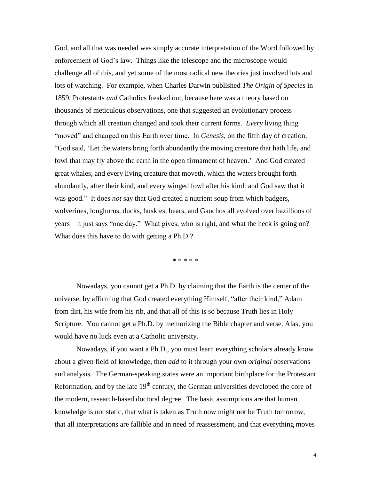God, and all that was needed was simply accurate interpretation of the Word followed by enforcement of God"s law. Things like the telescope and the microscope would challenge all of this, and yet some of the most radical new theories just involved lots and lots of watching. For example, when Charles Darwin published *The Origin of Species* in 1859, Protestants *and* Catholics freaked out, because here was a theory based on thousands of meticulous observations, one that suggested an evolutionary process through which all creation changed and took their current forms. *Every* living thing "moved" and changed on this Earth over time. In *Genesis*, on the fifth day of creation, "God said, "Let the waters bring forth abundantly the moving creature that hath life, and fowl that may fly above the earth in the open firmament of heaven." And God created great whales, and every living creature that moveth, which the waters brought forth abundantly, after their kind, and every winged fowl after his kind: and God saw that it was good." It does *not* say that God created a nutrient soup from which badgers, wolverines, longhorns, ducks, huskies, bears, and Gauchos all evolved over bazillions of years—it just says "one day." What gives, who is right, and what the heck is going on? What does this have to do with getting a Ph.D.?

\* \* \* \* \*

Nowadays, you cannot get a Ph.D. by claiming that the Earth is the center of the universe, by affirming that God created everything Himself, "after their kind," Adam from dirt, his wife from his rib, and that all of this is so because Truth lies in Holy Scripture. You cannot get a Ph.D. by memorizing the Bible chapter and verse. Alas, you would have no luck even at a Catholic university.

Nowadays, if you want a Ph.D., you must learn everything scholars already know about a given field of knowledge, then *add* to it through your own *original* observations and analysis. The German-speaking states were an important birthplace for the Protestant Reformation, and by the late  $19<sup>th</sup>$  century, the German universities developed the core of the modern, research-based doctoral degree. The basic assumptions are that human knowledge is not static, that what is taken as Truth now might not be Truth tomorrow, that all interpretations are fallible and in need of reassessment, and that everything moves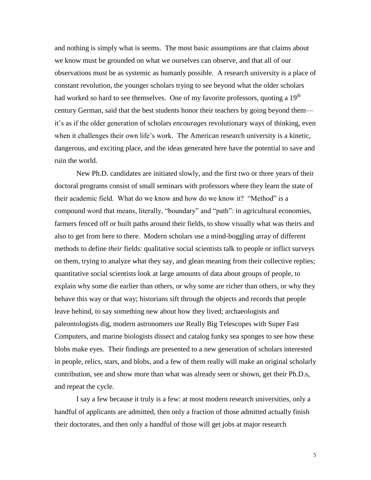and nothing is simply what is seems. The most basic assumptions are that claims about we know must be grounded on what we ourselves can observe, and that all of our observations must be as systemic as humanly possible. A research university is a place of constant revolution, the younger scholars trying to see beyond what the older scholars had worked so hard to see themselves. One of my favorite professors, quoting a 19<sup>th</sup> century German, said that the best students honor their teachers by going beyond them it"s as if the older generation of scholars *encourages* revolutionary ways of thinking, even when it challenges their own life's work. The American research university is a kinetic, dangerous, and exciting place, and the ideas generated here have the potential to save and ruin the world.

New Ph.D. candidates are initiated slowly, and the first two or three years of their doctoral programs consist of small seminars with professors where they learn the state of their academic field. What do we know and how do we know it? "Method" is a compound word that means, literally, "boundary" and "path": in agricultural economies, farmers fenced off or built paths around their fields, to show visually what was theirs and also to get from here to there. Modern scholars use a mind-boggling array of different methods to define *their* fields: qualitative social scientists talk to people or inflict surveys on them, trying to analyze what they say, and glean meaning from their collective replies; quantitative social scientists look at large amounts of data about groups of people, to explain why some die earlier than others, or why some are richer than others, or why they behave this way or that way; historians sift through the objects and records that people leave behind, to say something new about how they lived; archaeologists and paleontologists dig, modern astronomers use Really Big Telescopes with Super Fast Computers, and marine biologists dissect and catalog funky sea sponges to see how these blobs make eyes. Their findings are presented to a new generation of scholars interested in people, relics, stars, and blobs, and a few of them really will make an original scholarly contribution, see and show more than what was already seen or shown, get their Ph.D.s, and repeat the cycle.

I say a few because it truly is a few: at most modern research universities, only a handful of applicants are admitted, then only a fraction of those admitted actually finish their doctorates, and then only a handful of those will get jobs at major research

5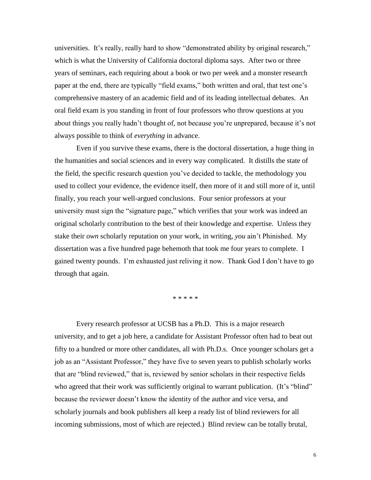universities. It's really, really hard to show "demonstrated ability by original research," which is what the University of California doctoral diploma says. After two or three years of seminars, each requiring about a book or two per week and a monster research paper at the end, there are typically "field exams," both written and oral, that test one"s comprehensive mastery of an academic field and of its leading intellectual debates. An oral field exam is you standing in front of four professors who throw questions at you about things you really hadn't thought of, not because you're unprepared, because it's not always possible to think of *everything* in advance.

Even if you survive these exams, there is the doctoral dissertation, a huge thing in the humanities and social sciences and in every way complicated. It distills the state of the field, the specific research question you"ve decided to tackle, the methodology you used to collect your evidence, the evidence itself, then more of it and still more of it, until finally, you reach your well-argued conclusions. Four senior professors at your university must sign the "signature page," which verifies that your work was indeed an original scholarly contribution to the best of their knowledge and expertise. Unless they stake their *own* scholarly reputation on your work, in writing, *you* ain"t Phinished. My dissertation was a five hundred page behemoth that took me four years to complete. I gained twenty pounds. I"m exhausted just reliving it now. Thank God I don"t have to go through that again.

\* \* \* \* \*

Every research professor at UCSB has a Ph.D. This is a major research university, and to get a job here, a candidate for Assistant Professor often had to beat out fifty to a hundred or more other candidates, all with Ph.D.s. Once younger scholars get a job as an "Assistant Professor," they have five to seven years to publish scholarly works that are "blind reviewed," that is, reviewed by senior scholars in their respective fields who agreed that their work was sufficiently original to warrant publication. (It's "blind" because the reviewer doesn"t know the identity of the author and vice versa, and scholarly journals and book publishers all keep a ready list of blind reviewers for all incoming submissions, most of which are rejected.) Blind review can be totally brutal,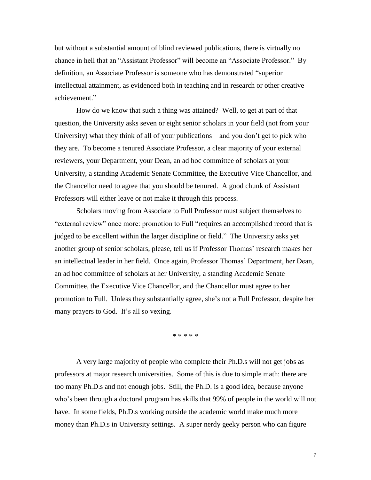but without a substantial amount of blind reviewed publications, there is virtually no chance in hell that an "Assistant Professor" will become an "Associate Professor." By definition, an Associate Professor is someone who has demonstrated "superior intellectual attainment, as evidenced both in teaching and in research or other creative achievement."

How do we know that such a thing was attained? Well, to get at part of that question, the University asks seven or eight senior scholars in your field (not from your University) what they think of all of your publications—and you don"t get to pick who they are. To become a tenured Associate Professor, a clear majority of your external reviewers, your Department, your Dean, an ad hoc committee of scholars at your University, a standing Academic Senate Committee, the Executive Vice Chancellor, and the Chancellor need to agree that you should be tenured. A good chunk of Assistant Professors will either leave or not make it through this process.

Scholars moving from Associate to Full Professor must subject themselves to "external review" once more: promotion to Full "requires an accomplished record that is judged to be excellent within the larger discipline or field." The University asks yet another group of senior scholars, please, tell us if Professor Thomas' research makes her an intellectual leader in her field. Once again, Professor Thomas" Department, her Dean, an ad hoc committee of scholars at her University, a standing Academic Senate Committee, the Executive Vice Chancellor, and the Chancellor must agree to her promotion to Full. Unless they substantially agree, she"s not a Full Professor, despite her many prayers to God. It's all so vexing.

\* \* \* \* \*

A very large majority of people who complete their Ph.D.s will not get jobs as professors at major research universities. Some of this is due to simple math: there are too many Ph.D.s and not enough jobs. Still, the Ph.D. is a good idea, because anyone who's been through a doctoral program has skills that 99% of people in the world will not have. In some fields, Ph.D.s working outside the academic world make much more money than Ph.D.s in University settings. A super nerdy geeky person who can figure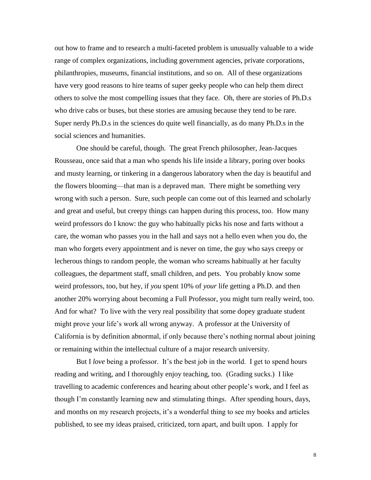out how to frame and to research a multi-faceted problem is unusually valuable to a wide range of complex organizations, including government agencies, private corporations, philanthropies, museums, financial institutions, and so on. All of these organizations have very good reasons to hire teams of super geeky people who can help them direct others to solve the most compelling issues that they face. Oh, there are stories of Ph.D.s who drive cabs or buses, but these stories are amusing because they tend to be rare. Super nerdy Ph.D.s in the sciences do quite well financially, as do many Ph.D.s in the social sciences and humanities.

One should be careful, though. The great French philosopher, Jean-Jacques Rousseau, once said that a man who spends his life inside a library, poring over books and musty learning, or tinkering in a dangerous laboratory when the day is beautiful and the flowers blooming—that man is a depraved man. There might be something very wrong with such a person. Sure, such people can come out of this learned and scholarly and great and useful, but creepy things can happen during this process, too. How many weird professors do I know: the guy who habitually picks his nose and farts without a care, the woman who passes you in the hall and says not a hello even when you do, the man who forgets every appointment and is never on time, the guy who says creepy or lecherous things to random people, the woman who screams habitually at her faculty colleagues, the department staff, small children, and pets. You probably know some weird professors, too, but hey, if *you* spent 10% of *your* life getting a Ph.D. and then another 20% worrying about becoming a Full Professor, you might turn really weird, too. And for what? To live with the very real possibility that some dopey graduate student might prove your life"s work all wrong anyway. A professor at the University of California is by definition abnormal, if only because there"s nothing normal about joining or remaining within the intellectual culture of a major research university.

But I *love* being a professor. It's the best job in the world. I get to spend hours reading and writing, and I thoroughly enjoy teaching, too. (Grading sucks.) I like travelling to academic conferences and hearing about other people"s work, and I feel as though I"m constantly learning new and stimulating things. After spending hours, days, and months on my research projects, it's a wonderful thing to see my books and articles published, to see my ideas praised, criticized, torn apart, and built upon. I apply for